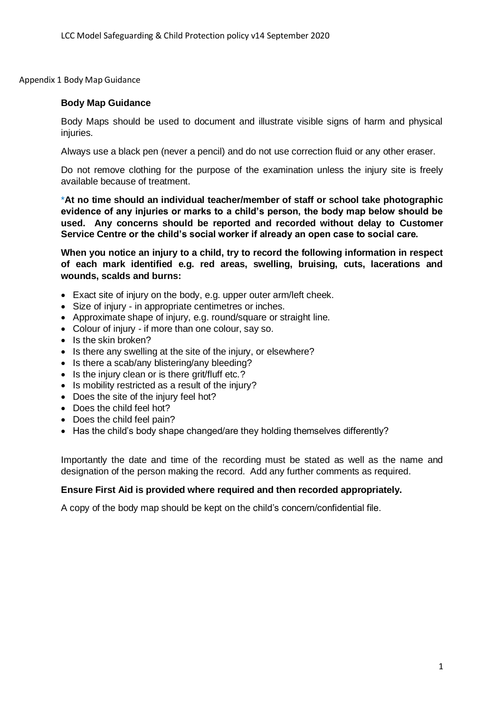Appendix 1 Body Map Guidance

#### **Body Map Guidance**

Body Maps should be used to document and illustrate visible signs of harm and physical injuries.

Always use a black pen (never a pencil) and do not use correction fluid or any other eraser.

Do not remove clothing for the purpose of the examination unless the injury site is freely available because of treatment.

\***At no time should an individual teacher/member of staff or school take photographic evidence of any injuries or marks to a child's person, the body map below should be used. Any concerns should be reported and recorded without delay to Customer Service Centre or the child's social worker if already an open case to social care.**

**When you notice an injury to a child, try to record the following information in respect of each mark identified e.g. red areas, swelling, bruising, cuts, lacerations and wounds, scalds and burns:**

- Exact site of injury on the body, e.g. upper outer arm/left cheek.
- Size of injury in appropriate centimetres or inches.
- Approximate shape of injury, e.g. round/square or straight line.
- Colour of injury if more than one colour, say so.
- Is the skin broken?
- Is there any swelling at the site of the injury, or elsewhere?
- Is there a scab/any blistering/any bleeding?
- Is the injury clean or is there grit/fluff etc.?
- Is mobility restricted as a result of the injury?
- Does the site of the injury feel hot?
- Does the child feel hot?
- Does the child feel pain?
- Has the child's body shape changed/are they holding themselves differently?

Importantly the date and time of the recording must be stated as well as the name and designation of the person making the record. Add any further comments as required.

#### **Ensure First Aid is provided where required and then recorded appropriately.**

A copy of the body map should be kept on the child's concern/confidential file.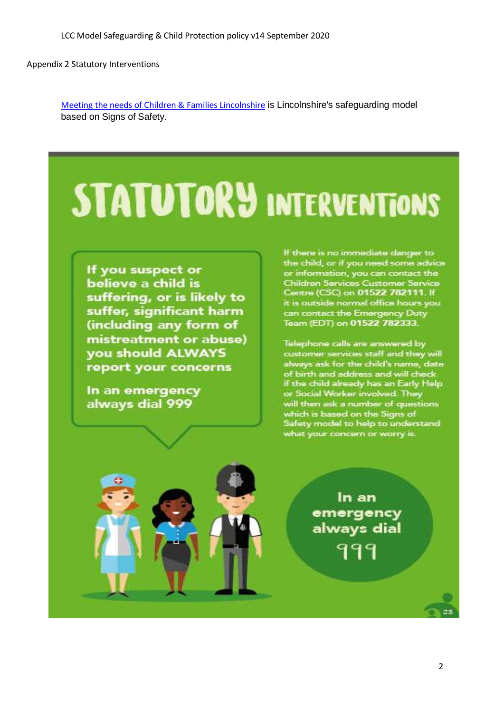Appendix 2 Statutory Interventions

[Meeting the needs of Children & Families Lincolnshire](https://lincolnshirescb.proceduresonline.com/pdfs/put_ch_first_thresholds.pdf?zoom_highlight=meeting+the+needs#search=%22meeting%20the%20needs%22) is Lincolnshire's safeguarding model based on Signs of Safety.

# **STATUTORY INTERVENTIONS**

If you suspect or believe a child is suffering, or is likely to suffer, significant harm (including any form of mistreatment or abuse) you should ALWAYS report your concerns

In an emergency always dial 999

If there is no immediate danger to the child, or if you need some advice or information, you can contact the **Children Services Customer Service** Centre (CSC) on 01522 782111. If it is outside normal office hours you can contact the Emergency Duty<br>Team (EDT) on 01522 782333.

Telephone calls are answered by customer services staff and they will always ask for the child's name, date of birth and address and will check<br>if the child already has an Early Help<br>or Social Worker involved. They will then ask a number of questions which is based on the Signs of Safety model to help to understand what your concern or worry is.

> In an emergency always dial 999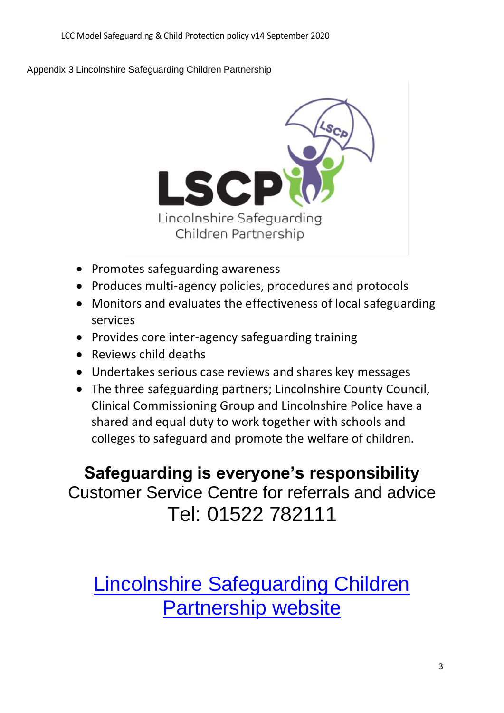Appendix 3 Lincolnshire Safeguarding Children Partnership



- Promotes safeguarding awareness
- Produces multi-agency policies, procedures and protocols
- Monitors and evaluates the effectiveness of local safeguarding services
- Provides core inter-agency safeguarding training
- Reviews child deaths
- Undertakes serious case reviews and shares key messages
- The three safeguarding partners; Lincolnshire County Council, Clinical Commissioning Group and Lincolnshire Police have a shared and equal duty to work together with schools and colleges to safeguard and promote the welfare of children.

**Safeguarding is everyone's responsibility** Customer Service Centre for referrals and advice Tel: 01522 782111

[Lincolnshire Safeguarding Children](http://www.lincolnshire.gov.uk/lscb)  **[Partnership website](http://www.lincolnshire.gov.uk/lscb)**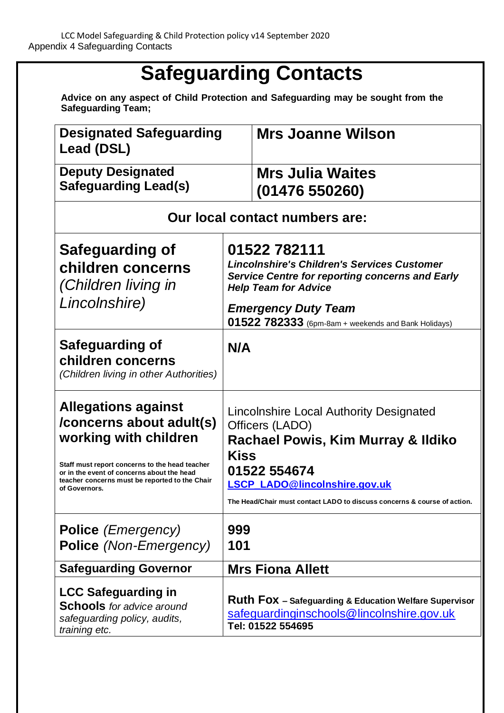## **Safeguarding Contacts**

**Advice on any aspect of Child Protection and Safeguarding may be sought from the Safeguarding Team;**

| <b>Designated Safeguarding</b><br>Lead (DSL)                                                                                                                                                                                                       |                                                                                                                                                                                                                                                     | <b>Mrs Joanne Wilson</b>                                                                                                 |
|----------------------------------------------------------------------------------------------------------------------------------------------------------------------------------------------------------------------------------------------------|-----------------------------------------------------------------------------------------------------------------------------------------------------------------------------------------------------------------------------------------------------|--------------------------------------------------------------------------------------------------------------------------|
| <b>Deputy Designated</b><br><b>Safeguarding Lead(s)</b>                                                                                                                                                                                            |                                                                                                                                                                                                                                                     | <b>Mrs Julia Waites</b><br>(01476550260)                                                                                 |
| Our local contact numbers are:                                                                                                                                                                                                                     |                                                                                                                                                                                                                                                     |                                                                                                                          |
| Safeguarding of<br>children concerns<br>(Children living in<br>Lincolnshire)                                                                                                                                                                       | 01522 782111<br><b>Lincolnshire's Children's Services Customer</b><br><b>Service Centre for reporting concerns and Early</b><br><b>Help Team for Advice</b><br><b>Emergency Duty Team</b><br>$01522782333$ (6pm-8am + weekends and Bank Holidays)   |                                                                                                                          |
| Safeguarding of<br>children concerns<br>(Children living in other Authorities)                                                                                                                                                                     | N/A                                                                                                                                                                                                                                                 |                                                                                                                          |
| <b>Allegations against</b><br>/concerns about adult(s)<br>working with children<br>Staff must report concerns to the head teacher<br>or in the event of concerns about the head<br>teacher concerns must be reported to the Chair<br>of Governors. | Lincolnshire Local Authority Designated<br>Officers (LADO)<br>Rachael Powis, Kim Murray & Ildiko<br><b>Kiss</b><br>01522 554674<br><b>LSCP LADO@lincolnshire.gov.uk</b><br>The Head/Chair must contact LADO to discuss concerns & course of action. |                                                                                                                          |
| <b>Police</b> ( <i>Emergency</i> )<br><b>Police</b> (Non-Emergency)                                                                                                                                                                                | 999<br>101                                                                                                                                                                                                                                          |                                                                                                                          |
| <b>Safeguarding Governor</b>                                                                                                                                                                                                                       | <b>Mrs Fiona Allett</b>                                                                                                                                                                                                                             |                                                                                                                          |
| <b>LCC Safeguarding in</b><br><b>Schools</b> for advice around<br>safeguarding policy, audits,<br>training etc.                                                                                                                                    |                                                                                                                                                                                                                                                     | Ruth Fox - Safeguarding & Education Welfare Supervisor<br>safeguardinginschools@lincolnshire.gov.uk<br>Tel: 01522 554695 |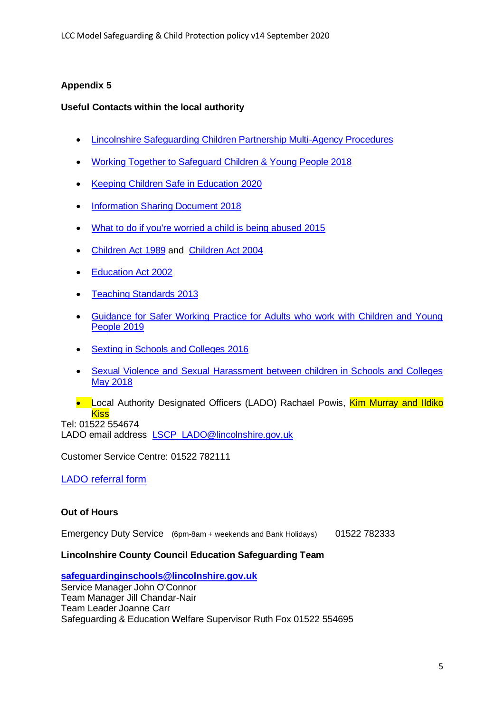#### **Appendix 5**

#### **Useful Contacts within the local authority**

- [Lincolnshire Safeguarding Children Partnership Multi-Agency Procedures](http://lincolnshirescb.proceduresonline.com/)
- [Working Together to Safeguard Children & Young People 2018](https://www.gov.uk/government/publications/working-together-to-safeguard-children--2)
- [Keeping Children Safe in Education 2020](https://www.gov.uk/government/publications/keeping-children-safe-in-education--2)
- [Information Sharing Document 2018](https://assets.publishing.service.gov.uk/government/uploads/system/uploads/attachment_data/file/721581/Information_sharing_advice_practitioners_safeguarding_services.pdf)
- [What to do if you're worried a child is being abused 2015](https://assets.publishing.service.gov.uk/government/uploads/system/uploads/attachment_data/file/419604/What_to_do_if_you_re_worried_a_child_is_being_abused.pdf)
- Children Act 1989 and [Children Act 2004](https://www.legislation.gov.uk/ukpga/2004/31/contents)
- [Education Act 2002](https://www.legislation.gov.uk/ukpga/2002/32/section/175)
- Teaching Standards 2013
- [Guidance for Safer Working Practice for Adults who work with Children and Young](https://www.lincolnshire.gov.uk/schools-and-education/stay-safe-partnership/safeguarding-in-schools/)  [People 2019](https://www.lincolnshire.gov.uk/schools-and-education/stay-safe-partnership/safeguarding-in-schools/)
- [Sexting in Schools and Colleges 2016](https://assets.publishing.service.gov.uk/government/uploads/system/uploads/attachment_data/file/609874/6_2939_SP_NCA_Sexting_In_Schools_FINAL_Update_Jan17.pdf)
- [Sexual Violence and Sexual Harassment between children in Schools and Colleges](https://assets.publishing.service.gov.uk/government/uploads/system/uploads/attachment_data/file/719902/Sexual_violence_and_sexual_harassment_between_children_in_schools_and_colleges.pdf)  [May 2018](https://assets.publishing.service.gov.uk/government/uploads/system/uploads/attachment_data/file/719902/Sexual_violence_and_sexual_harassment_between_children_in_schools_and_colleges.pdf)
- Local Authority Designated Officers (LADO) Rachael Powis, Kim Murray and Ildiko **Kiss**

Tel: 01522 554674 LADO email address LSCP LADO@lincolnshire.gov.uk

Customer Service Centre: 01522 782111

#### [LADO referral form](https://www.lincolnshire.gov.uk/lscb/the-lscb/contact-us/124619.article)

#### **Out of Hours**

Emergency Duty Service(6pm-8am + weekends and Bank Holidays) 01522 782333

#### **Lincolnshire County Council Education Safeguarding Team**

**[safeguardinginschools@lincolnshire.gov.uk](mailto:safeguardinginschools@lincolnshire.gov.uk)** Service Manager John O'Connor Team Manager Jill Chandar-Nair Team Leader Joanne Carr Safeguarding & Education Welfare Supervisor Ruth Fox 01522 554695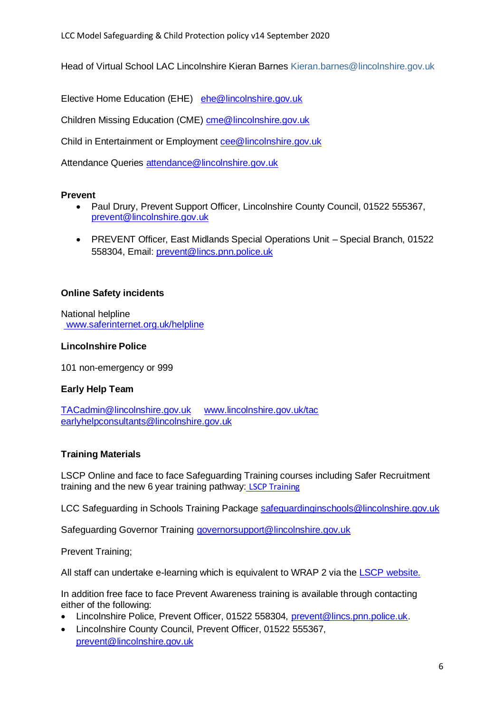Head of Virtual School LAC Lincolnshire Kieran Barnes [Kieran.barnes@lincolnshire.gov.uk](mailto:Kieran.barnes@lincolnshire.gov.uk)

Elective Home Education (EHE) [ehe@lincolnshire.gov.uk](mailto:attendance.pupilsupport@kirklees.gov.uk)

Children Missing Education (CME) [cme@lincolnshire.gov.uk](mailto:cme@lincolnshire.gov.uk)

Child in Entertainment or Employment [cee@lincolnshire.gov.uk](mailto:cee@lincolnshire.gov.uk)

Attendance Queries [attendance@lincolnshire.gov.uk](mailto:attendance@lincolnshire.gov.uk)

#### **Prevent**

- Paul Drury, Prevent Support Officer, Lincolnshire County Council, 01522 555367, [prevent@lincolnshire.gov.uk](mailto:prevent@lincolnshire.gov.uk)
- PREVENT Officer, East Midlands Special Operations Unit Special Branch, 01522 558304, Email: [prevent@lincs.pnn.police.uk](mailto:prevent@lincs.pnn.police.uk)

#### **Online Safety incidents**

National helpline www.saferinternet.org.uk/helpline

#### **Lincolnshire Police**

101 non-emergency or 999

#### **Early Help Team**

[TACadmin@lincolnshire.gov.uk](mailto:TACadmin@lincolnshire.gov.uk) [www.lincolnshire.gov.uk/tac](http://www.lincolnshire.gov.uk/tac) [earlyhelpconsultants@lincolnshire.gov.uk](mailto:earlyhelpconsultants@lincolnshire.gov.uk)

#### **Training Materials**

LSCP Online and face to face Safeguarding Training courses including Safer Recruitment training and the new 6 year training pathway: [LSCP Training](https://www.lincolnshire.gov.uk/safeguarding/lscp/3?documentId=258&categoryId=20076)

LCC Safeguarding in Schools Training Package [safeguardinginschools@lincolnshire.gov.uk](mailto:safeguardinginschools@lincolnshire.gov.uk)

Safeguarding Governor Training [governorsupport@lincolnshire.gov.uk](mailto:governorsupport@lincolnshire.gov.uk)

Prevent Training;

All staff can undertake e-learning which is equivalent to WRAP 2 via the [LSCP website.](http://www.lincolnshire.gov.uk/lscb/professionals/support/training/124632.article)

In addition free face to face Prevent Awareness training is available through contacting either of the following:

- Lincolnshire Police, Prevent Officer, 01522 558304, [prevent@lincs.pnn.police.uk.](mailto:prevent@lincs.pnn.police.uk)
- Lincolnshire County Council, Prevent Officer, 01522 555367, [prevent@lincolnshire.gov.uk](mailto:prevent@lincolnshire.gov.uk)